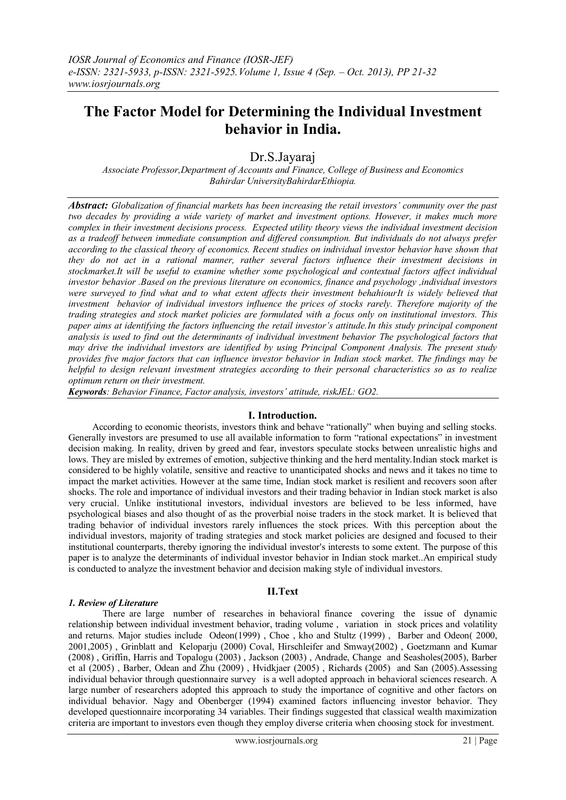# **The Factor Model for Determining the Individual Investment behavior in India.**

# Dr.S.Jayaraj

*Associate Professor,Department of Accounts and Finance, College of Business and Economics Bahirdar UniversityBahirdarEthiopia.*

*Abstract: Globalization of financial markets has been increasing the retail investors' community over the past two decades by providing a wide variety of market and investment options. However, it makes much more complex in their investment decisions process. Expected utility theory views the individual investment decision as a tradeoff between immediate consumption and differed consumption. But individuals do not always prefer according to the classical theory of economics. Recent studies on individual investor behavior have shown that they do not act in a rational manner, rather several factors influence their investment decisions in stockmarket.It will be useful to examine whether some psychological and contextual factors affect individual investor behavior .Based on the previous literature on economics, finance and psychology ,individual investors were surveyed to find what and to what extent affects their investment behahiourIt is widely believed that investment behavior of individual investors influence the prices of stocks rarely. Therefore majority of the trading strategies and stock market policies are formulated with a focus only on institutional investors. This paper aims at identifying the factors influencing the retail investor's attitude.In this study principal component analysis is used to find out the determinants of individual investment behavior The psychological factors that may drive the individual investors are identified by using Principal Component Analysis. The present study provides five major factors that can influence investor behavior in Indian stock market. The findings may be helpful to design relevant investment strategies according to their personal characteristics so as to realize optimum return on their investment.*

*Keywords: Behavior Finance, Factor analysis, investors' attitude, riskJEL: GO2.*

#### **I. Introduction.**

 According to economic theorists, investors think and behave "rationally" when buying and selling stocks. Generally investors are presumed to use all available information to form "rational expectations" in investment decision making. In reality, driven by greed and fear, investors speculate stocks between unrealistic highs and lows. They are misled by extremes of emotion, subjective thinking and the herd mentality.Indian stock market is considered to be highly volatile, sensitive and reactive to unanticipated shocks and news and it takes no time to impact the market activities. However at the same time, Indian stock market is resilient and recovers soon after shocks. The role and importance of individual investors and their trading behavior in Indian stock market is also very crucial. Unlike institutional investors, individual investors are believed to be less informed, have psychological biases and also thought of as the proverbial noise traders in the stock market. It is believed that trading behavior of individual investors rarely influences the stock prices. With this perception about the individual investors, majority of trading strategies and stock market policies are designed and focused to their institutional counterparts, thereby ignoring the individual investor's interests to some extent. The purpose of this paper is to analyze the determinants of individual investor behavior in Indian stock market..An empirical study is conducted to analyze the investment behavior and decision making style of individual investors.

## **II.Text**

#### *1. Review of Literature*

There are large number of researches in behavioral finance covering the issue of dynamic relationship between individual investment behavior, trading volume , variation in stock prices and volatility and returns. Major studies include Odeon(1999) , Choe , kho and Stultz (1999) , Barber and Odeon( 2000, 2001,2005) , Grinblatt and Keloparju (2000) Coval, Hirschleifer and Smway(2002) , Goetzmann and Kumar (2008) , Griffin, Harris and Topalogu (2003) , Jackson (2003) , Andrade, Change and Seasholes(2005), Barber et al (2005) , Barber, Odean and Zhu (2009) , Hvidkjaer (2005) , Richards (2005) and San (2005).Assessing individual behavior through questionnaire survey is a well adopted approach in behavioral sciences research. A large number of researchers adopted this approach to study the importance of cognitive and other factors on individual behavior. Nagy and Obenberger (1994) examined factors influencing investor behavior. They developed questionnaire incorporating 34 variables. Their findings suggested that classical wealth maximization criteria are important to investors even though they employ diverse criteria when choosing stock for investment.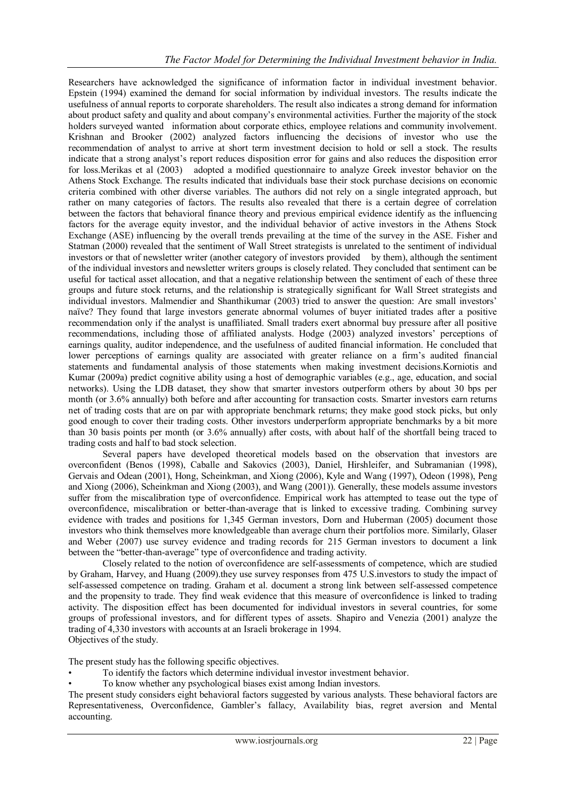Researchers have acknowledged the significance of information factor in individual investment behavior. Epstein (1994) examined the demand for social information by individual investors. The results indicate the usefulness of annual reports to corporate shareholders. The result also indicates a strong demand for information about product safety and quality and about company"s environmental activities. Further the majority of the stock holders surveyed wanted information about corporate ethics, employee relations and community involvement. Krishnan and Brooker (2002) analyzed factors influencing the decisions of investor who use the recommendation of analyst to arrive at short term investment decision to hold or sell a stock. The results indicate that a strong analyst"s report reduces disposition error for gains and also reduces the disposition error for loss.Merikas et al (2003) adopted a modified questionnaire to analyze Greek investor behavior on the Athens Stock Exchange. The results indicated that individuals base their stock purchase decisions on economic criteria combined with other diverse variables. The authors did not rely on a single integrated approach, but rather on many categories of factors. The results also revealed that there is a certain degree of correlation between the factors that behavioral finance theory and previous empirical evidence identify as the influencing factors for the average equity investor, and the individual behavior of active investors in the Athens Stock Exchange (ASE) influencing by the overall trends prevailing at the time of the survey in the ASE. Fisher and Statman (2000) revealed that the sentiment of Wall Street strategists is unrelated to the sentiment of individual investors or that of newsletter writer (another category of investors provided by them), although the sentiment of the individual investors and newsletter writers groups is closely related. They concluded that sentiment can be useful for tactical asset allocation, and that a negative relationship between the sentiment of each of these three groups and future stock returns, and the relationship is strategically significant for Wall Street strategists and individual investors. Malmendier and Shanthikumar (2003) tried to answer the question: Are small investors' naïve? They found that large investors generate abnormal volumes of buyer initiated trades after a positive recommendation only if the analyst is unaffiliated. Small traders exert abnormal buy pressure after all positive recommendations, including those of affiliated analysts. Hodge (2003) analyzed investors" perceptions of earnings quality, auditor independence, and the usefulness of audited financial information. He concluded that lower perceptions of earnings quality are associated with greater reliance on a firm"s audited financial statements and fundamental analysis of those statements when making investment decisions.Korniotis and Kumar (2009a) predict cognitive ability using a host of demographic variables (e.g., age, education, and social networks). Using the LDB dataset, they show that smarter investors outperform others by about 30 bps per month (or 3.6% annually) both before and after accounting for transaction costs. Smarter investors earn returns net of trading costs that are on par with appropriate benchmark returns; they make good stock picks, but only good enough to cover their trading costs. Other investors underperform appropriate benchmarks by a bit more than 30 basis points per month (or 3.6% annually) after costs, with about half of the shortfall being traced to trading costs and half to bad stock selection.

Several papers have developed theoretical models based on the observation that investors are overconfident (Benos (1998), Caballe and Sakovics (2003), Daniel, Hirshleifer, and Subramanian (1998), Gervais and Odean (2001), Hong, Scheinkman, and Xiong (2006), Kyle and Wang (1997), Odeon (1998), Peng and Xiong (2006), Scheinkman and Xiong (2003), and Wang (2001)). Generally, these models assume investors suffer from the miscalibration type of overconfidence. Empirical work has attempted to tease out the type of overconfidence, miscalibration or better-than-average that is linked to excessive trading. Combining survey evidence with trades and positions for 1,345 German investors, Dorn and Huberman (2005) document those investors who think themselves more knowledgeable than average churn their portfolios more. Similarly, Glaser and Weber (2007) use survey evidence and trading records for 215 German investors to document a link between the "better-than-average" type of overconfidence and trading activity.

Closely related to the notion of overconfidence are self-assessments of competence, which are studied by Graham, Harvey, and Huang (2009).they use survey responses from 475 U.S.investors to study the impact of self-assessed competence on trading. Graham et al. document a strong link between self-assessed competence and the propensity to trade. They find weak evidence that this measure of overconfidence is linked to trading activity. The disposition effect has been documented for individual investors in several countries, for some groups of professional investors, and for different types of assets. Shapiro and Venezia (2001) analyze the trading of 4,330 investors with accounts at an Israeli brokerage in 1994. Objectives of the study.

The present study has the following specific objectives.

- To identify the factors which determine individual investor investment behavior.
- To know whether any psychological biases exist among Indian investors.

The present study considers eight behavioral factors suggested by various analysts. These behavioral factors are Representativeness, Overconfidence, Gambler"s fallacy, Availability bias, regret aversion and Mental accounting.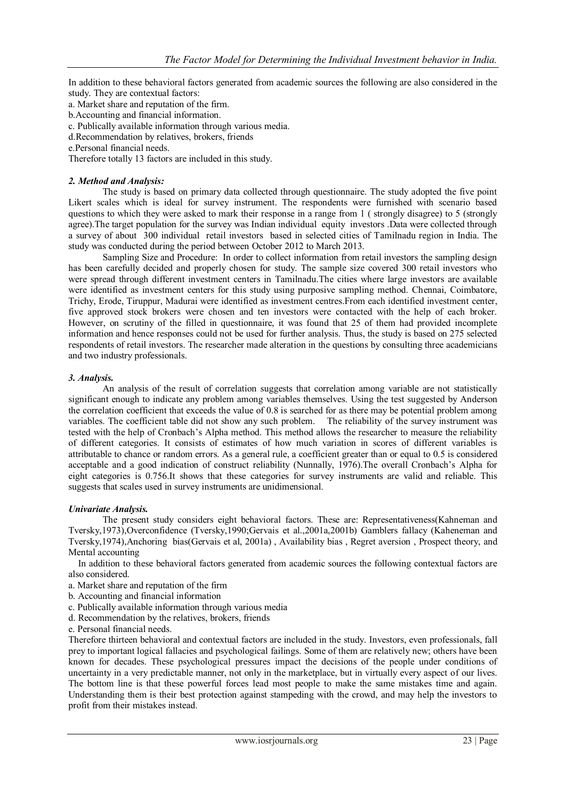In addition to these behavioral factors generated from academic sources the following are also considered in the study. They are contextual factors:

- a. Market share and reputation of the firm.
- b.Accounting and financial information.
- c. Publically available information through various media.
- d.Recommendation by relatives, brokers, friends
- e.Personal financial needs.

Therefore totally 13 factors are included in this study.

#### *2. Method and Analysis:*

The study is based on primary data collected through questionnaire. The study adopted the five point Likert scales which is ideal for survey instrument. The respondents were furnished with scenario based questions to which they were asked to mark their response in a range from 1 ( strongly disagree) to 5 (strongly agree).The target population for the survey was Indian individual equity investors .Data were collected through a survey of about 300 individual retail investors based in selected cities of Tamilnadu region in India. The study was conducted during the period between October 2012 to March 2013.

Sampling Size and Procedure: In order to collect information from retail investors the sampling design has been carefully decided and properly chosen for study. The sample size covered 300 retail investors who were spread through different investment centers in Tamilnadu.The cities where large investors are available were identified as investment centers for this study using purposive sampling method. Chennai, Coimbatore, Trichy, Erode, Tiruppur, Madurai were identified as investment centres.From each identified investment center, five approved stock brokers were chosen and ten investors were contacted with the help of each broker. However, on scrutiny of the filled in questionnaire, it was found that 25 of them had provided incomplete information and hence responses could not be used for further analysis. Thus, the study is based on 275 selected respondents of retail investors. The researcher made alteration in the questions by consulting three academicians and two industry professionals.

#### *3. Analysis.*

An analysis of the result of correlation suggests that correlation among variable are not statistically significant enough to indicate any problem among variables themselves. Using the test suggested by Anderson the correlation coefficient that exceeds the value of 0.8 is searched for as there may be potential problem among variables. The coefficient table did not show any such problem. The reliability of the survey instrument was tested with the help of Cronbach"s Alpha method. This method allows the researcher to measure the reliability of different categories. It consists of estimates of how much variation in scores of different variables is attributable to chance or random errors. As a general rule, a coefficient greater than or equal to 0.5 is considered acceptable and a good indication of construct reliability (Nunnally, 1976). The overall Cronbach's Alpha for eight categories is 0.756.It shows that these categories for survey instruments are valid and reliable. This suggests that scales used in survey instruments are unidimensional.

#### *Univariate Analysis.*

The present study considers eight behavioral factors. These are: Representativeness(Kahneman and Tversky,1973),Overconfidence (Tversky,1990;Gervais et al.,2001a,2001b) Gamblers fallacy (Kaheneman and Tversky,1974),Anchoring bias(Gervais et al, 2001a) , Availability bias , Regret aversion , Prospect theory, and Mental accounting

 In addition to these behavioral factors generated from academic sources the following contextual factors are also considered.

- a. Market share and reputation of the firm
- b. Accounting and financial information
- c. Publically available information through various media
- d. Recommendation by the relatives, brokers, friends
- e. Personal financial needs.

Therefore thirteen behavioral and contextual factors are included in the study. Investors, even professionals, fall prey to important logical fallacies and psychological failings. Some of them are relatively new; others have been known for decades. These psychological pressures impact the decisions of the people under conditions of uncertainty in a very predictable manner, not only in the marketplace, but in virtually every aspect of our lives. The bottom line is that these powerful forces lead most people to make the same mistakes time and again. Understanding them is their best protection against stampeding with the crowd, and may help the investors to profit from their mistakes instead.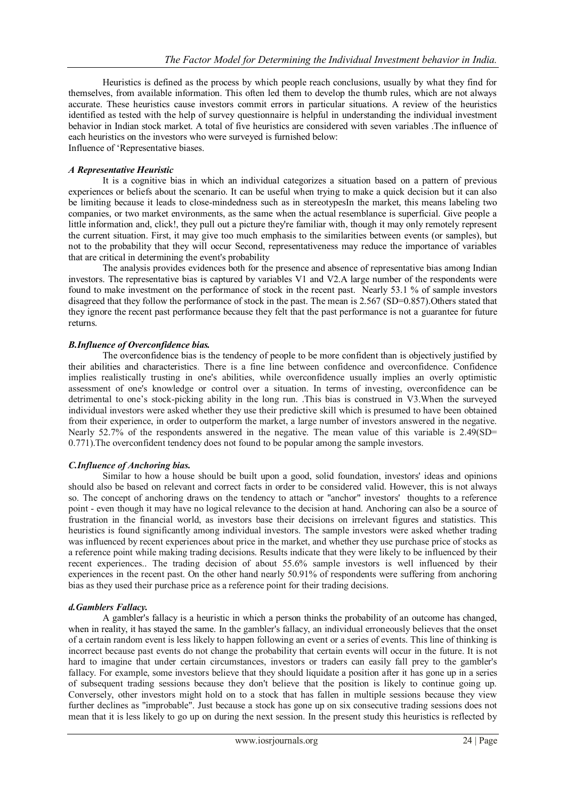Heuristics is defined as the process by which people reach conclusions, usually by what they find for themselves, from available information. This often led them to develop the thumb rules, which are not always accurate. These heuristics cause investors commit errors in particular situations. A review of the heuristics identified as tested with the help of survey questionnaire is helpful in understanding the individual investment behavior in Indian stock market. A total of five heuristics are considered with seven variables .The influence of each heuristics on the investors who were surveyed is furnished below: Influence of "Representative biases.

#### *A Representative Heuristic*

It is a cognitive bias in which an individual categorizes a situation based on a pattern of previous experiences or beliefs about the scenario. It can be useful when trying to make a quick decision but it can also be limiting because it leads to close-mindedness such as in stereotypesIn the market, this means labeling two companies, or two market environments, as the same when the actual resemblance is superficial. Give people a little information and, click!, they pull out a picture they're familiar with, though it may only remotely represent the current situation. First, it may give too much emphasis to the similarities between events (or samples), but not to the probability that they will occur Second, representativeness may reduce the importance of variables that are critical in determining the event's probability

The analysis provides evidences both for the presence and absence of representative bias among Indian investors. The representative bias is captured by variables V1 and V2.A large number of the respondents were found to make investment on the performance of stock in the recent past. Nearly 53.1 % of sample investors disagreed that they follow the performance of stock in the past. The mean is 2.567 (SD=0.857).Others stated that they ignore the recent past performance because they felt that the past performance is not a guarantee for future returns.

#### *B.Influence of Overconfidence bias.*

The overconfidence bias is the tendency of people to be more confident than is objectively justified by their abilities and characteristics. There is a fine line between confidence and overconfidence. Confidence implies realistically trusting in one's abilities, while overconfidence usually implies an overly optimistic assessment of one's knowledge or control over a situation. In terms of investing, overconfidence can be detrimental to one"s stock-picking ability in the long run. .This bias is construed in V3.When the surveyed individual investors were asked whether they use their predictive skill which is presumed to have been obtained from their experience, in order to outperform the market, a large number of investors answered in the negative. Nearly 52.7% of the respondents answered in the negative. The mean value of this variable is 2.49(SD= 0.771).The overconfident tendency does not found to be popular among the sample investors.

## *C.Influence of Anchoring bias.*

Similar to how a house should be built upon a good, solid foundation, investors' ideas and opinions should also be based on relevant and correct facts in order to be considered valid. However, this is not always so. The concept of anchoring draws on the tendency to attach or "anchor" investors' thoughts to a reference point - even though it may have no logical relevance to the decision at hand. Anchoring can also be a source of frustration in the financial world, as investors base their decisions on irrelevant figures and statistics. This heuristics is found significantly among individual investors. The sample investors were asked whether trading was influenced by recent experiences about price in the market, and whether they use purchase price of stocks as a reference point while making trading decisions. Results indicate that they were likely to be influenced by their recent experiences.. The trading decision of about 55.6% sample investors is well influenced by their experiences in the recent past. On the other hand nearly 50.91% of respondents were suffering from anchoring bias as they used their purchase price as a reference point for their trading decisions.

## *d.Gamblers Fallacy.*

A gambler's fallacy is a heuristic in which a person thinks the probability of an outcome has changed, when in reality, it has stayed the same. In the gambler's fallacy, an individual erroneously believes that the onset of a certain random event is less likely to happen following an event or a series of events. This line of thinking is incorrect because past events do not change the probability that certain events will occur in the future. It is not hard to imagine that under certain circumstances, investors or traders can easily fall prey to the gambler's fallacy. For example, some investors believe that they should liquidate a position after it has gone up in a series of subsequent trading sessions because they don't believe that the position is likely to continue going up. Conversely, other investors might hold on to a stock that has fallen in multiple sessions because they view further declines as "improbable". Just because a stock has gone up on six consecutive trading sessions does not mean that it is less likely to go up on during the next session. In the present study this heuristics is reflected by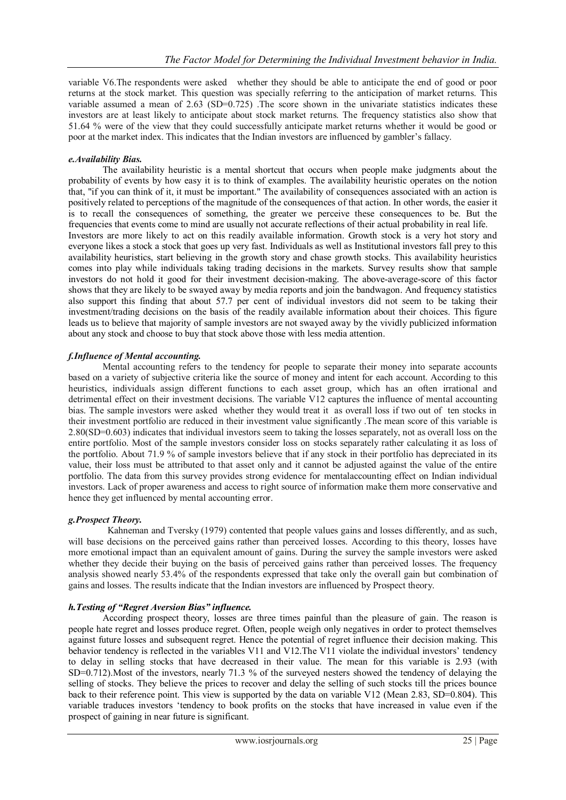variable V6.The respondents were asked whether they should be able to anticipate the end of good or poor returns at the stock market. This question was specially referring to the anticipation of market returns. This variable assumed a mean of  $2.63$  (SD=0.725). The score shown in the univariate statistics indicates these investors are at least likely to anticipate about stock market returns. The frequency statistics also show that 51.64 % were of the view that they could successfully anticipate market returns whether it would be good or poor at the market index. This indicates that the Indian investors are influenced by gambler"s fallacy.

#### *e.Availability Bias.*

The availability heuristic is a mental shortcut that occurs when people make judgments about the probability of events by how easy it is to think of examples. The availability heuristic operates on the notion that, "if you can think of it, it must be important." The availability of consequences associated with an action is positively related to perceptions of the magnitude of the consequences of that action. In other words, the easier it is to recall the consequences of something, the greater we perceive these consequences to be. But the frequencies that events come to mind are usually not accurate reflections of their actual probability in real life. Investors are more likely to act on this readily available information. Growth stock is a very hot story and everyone likes a stock a stock that goes up very fast. Individuals as well as Institutional investors fall prey to this availability heuristics, start believing in the growth story and chase growth stocks. This availability heuristics comes into play while individuals taking trading decisions in the markets. Survey results show that sample investors do not hold it good for their investment decision-making. The above-average-score of this factor shows that they are likely to be swayed away by media reports and join the bandwagon. And frequency statistics also support this finding that about 57.7 per cent of individual investors did not seem to be taking their investment/trading decisions on the basis of the readily available information about their choices. This figure leads us to believe that majority of sample investors are not swayed away by the vividly publicized information about any stock and choose to buy that stock above those with less media attention.

#### *f.Influence of Mental accounting.*

Mental accounting refers to the tendency for people to separate their money into separate accounts based on a variety of subjective criteria like the source of money and intent for each account. According to this heuristics, individuals assign different functions to each asset group, which has an often irrational and detrimental effect on their investment decisions. The variable V12 captures the influence of mental accounting bias. The sample investors were asked whether they would treat it as overall loss if two out of ten stocks in their investment portfolio are reduced in their investment value significantly .The mean score of this variable is 2.80(SD=0.603) indicates that individual investors seem to taking the losses separately, not as overall loss on the entire portfolio. Most of the sample investors consider loss on stocks separately rather calculating it as loss of the portfolio. About 71.9 % of sample investors believe that if any stock in their portfolio has depreciated in its value, their loss must be attributed to that asset only and it cannot be adjusted against the value of the entire portfolio. The data from this survey provides strong evidence for mentalaccounting effect on Indian individual investors. Lack of proper awareness and access to right source of information make them more conservative and hence they get influenced by mental accounting error.

#### *g.Prospect Theory.*

 Kahneman and Tversky (1979) contented that people values gains and losses differently, and as such, will base decisions on the perceived gains rather than perceived losses. According to this theory, losses have more emotional impact than an equivalent amount of gains. During the survey the sample investors were asked whether they decide their buying on the basis of perceived gains rather than perceived losses. The frequency analysis showed nearly 53.4% of the respondents expressed that take only the overall gain but combination of gains and losses. The results indicate that the Indian investors are influenced by Prospect theory.

#### *h.Testing of "Regret Aversion Bias" influence.*

According prospect theory, losses are three times painful than the pleasure of gain. The reason is people hate regret and losses produce regret. Often, people weigh only negatives in order to protect themselves against future losses and subsequent regret. Hence the potential of regret influence their decision making. This behavior tendency is reflected in the variables V11 and V12. The V11 violate the individual investors' tendency to delay in selling stocks that have decreased in their value. The mean for this variable is 2.93 (with SD=0.712). Most of the investors, nearly 71.3 % of the surveyed nesters showed the tendency of delaying the selling of stocks. They believe the prices to recover and delay the selling of such stocks till the prices bounce back to their reference point. This view is supported by the data on variable V12 (Mean 2.83, SD=0.804). This variable traduces investors "tendency to book profits on the stocks that have increased in value even if the prospect of gaining in near future is significant.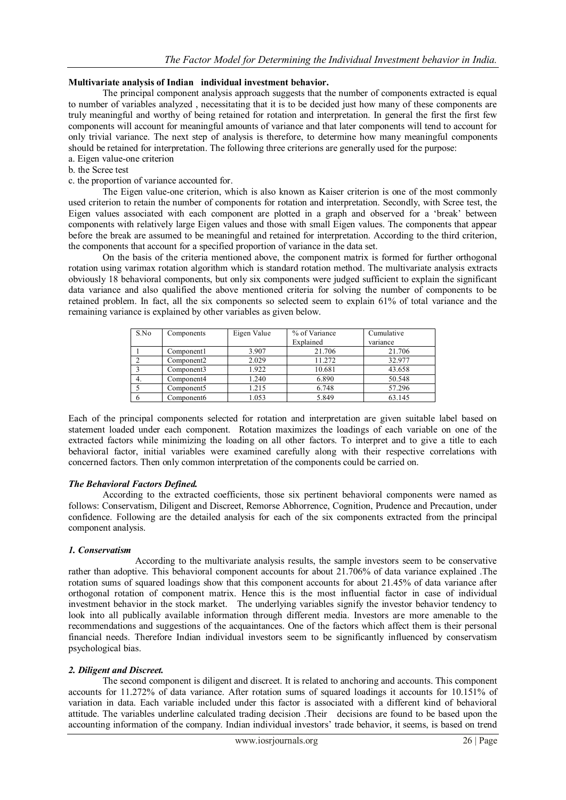#### **Multivariate analysis of Indian individual investment behavior.**

The principal component analysis approach suggests that the number of components extracted is equal to number of variables analyzed , necessitating that it is to be decided just how many of these components are truly meaningful and worthy of being retained for rotation and interpretation. In general the first the first few components will account for meaningful amounts of variance and that later components will tend to account for only trivial variance. The next step of analysis is therefore, to determine how many meaningful components should be retained for interpretation. The following three criterions are generally used for the purpose: a. Eigen value-one criterion

- b. the Scree test
- c. the proportion of variance accounted for.

The Eigen value-one criterion, which is also known as Kaiser criterion is one of the most commonly used criterion to retain the number of components for rotation and interpretation. Secondly, with Scree test, the Eigen values associated with each component are plotted in a graph and observed for a "break" between components with relatively large Eigen values and those with small Eigen values. The components that appear before the break are assumed to be meaningful and retained for interpretation. According to the third criterion, the components that account for a specified proportion of variance in the data set.

On the basis of the criteria mentioned above, the component matrix is formed for further orthogonal rotation using varimax rotation algorithm which is standard rotation method. The multivariate analysis extracts obviously 18 behavioral components, but only six components were judged sufficient to explain the significant data variance and also qualified the above mentioned criteria for solving the number of components to be retained problem. In fact, all the six components so selected seem to explain 61% of total variance and the remaining variance is explained by other variables as given below.

| S.No | Components             | Eigen Value | % of Variance<br>Explained | Cumulative<br>variance |
|------|------------------------|-------------|----------------------------|------------------------|
|      |                        |             |                            |                        |
|      | Component1             | 3.907       | 21.706                     | 21.706                 |
|      | Component <sub>2</sub> | 2.029       | 11.272                     | 32.977                 |
|      | Component3             | 1.922       | 10.681                     | 43.658                 |
|      | Component4             | 1.240       | 6.890                      | 50.548                 |
|      | Component <sub>5</sub> | 1.215       | 6.748                      | 57.296                 |
|      | Component6             | 1.053       | 5.849                      | 63.145                 |

Each of the principal components selected for rotation and interpretation are given suitable label based on statement loaded under each component. Rotation maximizes the loadings of each variable on one of the extracted factors while minimizing the loading on all other factors. To interpret and to give a title to each behavioral factor, initial variables were examined carefully along with their respective correlations with concerned factors. Then only common interpretation of the components could be carried on.

#### *The Behavioral Factors Defined.*

According to the extracted coefficients, those six pertinent behavioral components were named as follows: Conservatism, Diligent and Discreet, Remorse Abhorrence, Cognition, Prudence and Precaution, under confidence. Following are the detailed analysis for each of the six components extracted from the principal component analysis.

#### *1. Conservatism*

 According to the multivariate analysis results, the sample investors seem to be conservative rather than adoptive. This behavioral component accounts for about 21.706% of data variance explained .The rotation sums of squared loadings show that this component accounts for about 21.45% of data variance after orthogonal rotation of component matrix. Hence this is the most influential factor in case of individual investment behavior in the stock market. The underlying variables signify the investor behavior tendency to look into all publically available information through different media. Investors are more amenable to the recommendations and suggestions of the acquaintances. One of the factors which affect them is their personal financial needs. Therefore Indian individual investors seem to be significantly influenced by conservatism psychological bias.

#### *2. Diligent and Discreet.*

The second component is diligent and discreet. It is related to anchoring and accounts. This component accounts for 11.272% of data variance. After rotation sums of squared loadings it accounts for 10.151% of variation in data. Each variable included under this factor is associated with a different kind of behavioral attitude. The variables underline calculated trading decision .Their decisions are found to be based upon the accounting information of the company. Indian individual investors' trade behavior, it seems, is based on trend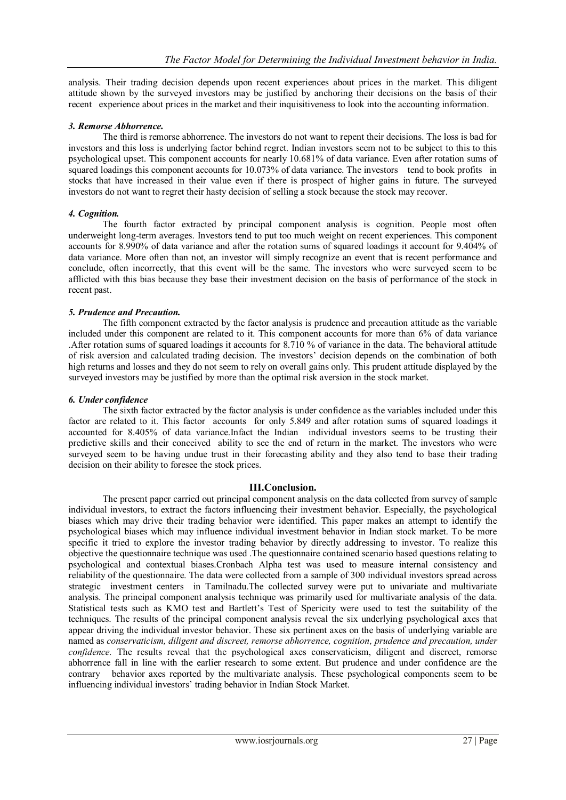analysis. Their trading decision depends upon recent experiences about prices in the market. This diligent attitude shown by the surveyed investors may be justified by anchoring their decisions on the basis of their recent experience about prices in the market and their inquisitiveness to look into the accounting information.

#### *3. Remorse Abhorrence.*

The third is remorse abhorrence. The investors do not want to repent their decisions. The loss is bad for investors and this loss is underlying factor behind regret. Indian investors seem not to be subject to this to this psychological upset. This component accounts for nearly 10.681% of data variance. Even after rotation sums of squared loadings this component accounts for 10.073% of data variance. The investors tend to book profits in stocks that have increased in their value even if there is prospect of higher gains in future. The surveyed investors do not want to regret their hasty decision of selling a stock because the stock may recover.

#### *4. Cognition.*

The fourth factor extracted by principal component analysis is cognition. People most often underweight long-term averages. Investors tend to put too much weight on recent experiences. This component accounts for 8.990% of data variance and after the rotation sums of squared loadings it account for 9.404% of data variance. More often than not, an investor will simply recognize an event that is recent performance and conclude, often incorrectly, that this event will be the same. The investors who were surveyed seem to be afflicted with this bias because they base their investment decision on the basis of performance of the stock in recent past.

#### *5. Prudence and Precaution.*

The fifth component extracted by the factor analysis is prudence and precaution attitude as the variable included under this component are related to it. This component accounts for more than 6% of data variance .After rotation sums of squared loadings it accounts for 8.710 % of variance in the data. The behavioral attitude of risk aversion and calculated trading decision. The investors" decision depends on the combination of both high returns and losses and they do not seem to rely on overall gains only. This prudent attitude displayed by the surveyed investors may be justified by more than the optimal risk aversion in the stock market.

#### *6. Under confidence*

The sixth factor extracted by the factor analysis is under confidence as the variables included under this factor are related to it. This factor accounts for only 5.849 and after rotation sums of squared loadings it accounted for 8.405% of data variance.Infact the Indian individual investors seems to be trusting their predictive skills and their conceived ability to see the end of return in the market. The investors who were surveyed seem to be having undue trust in their forecasting ability and they also tend to base their trading decision on their ability to foresee the stock prices.

## **III.Conclusion.**

The present paper carried out principal component analysis on the data collected from survey of sample individual investors, to extract the factors influencing their investment behavior. Especially, the psychological biases which may drive their trading behavior were identified. This paper makes an attempt to identify the psychological biases which may influence individual investment behavior in Indian stock market. To be more specific it tried to explore the investor trading behavior by directly addressing to investor. To realize this objective the questionnaire technique was used .The questionnaire contained scenario based questions relating to psychological and contextual biases.Cronbach Alpha test was used to measure internal consistency and reliability of the questionnaire. The data were collected from a sample of 300 individual investors spread across strategic investment centers in Tamilnadu.The collected survey were put to univariate and multivariate analysis. The principal component analysis technique was primarily used for multivariate analysis of the data. Statistical tests such as KMO test and Bartlett's Test of Spericity were used to test the suitability of the techniques. The results of the principal component analysis reveal the six underlying psychological axes that appear driving the individual investor behavior. These six pertinent axes on the basis of underlying variable are named as *conservaticism, diligent and discreet, remorse abhorrence, cognition, prudence and precaution, under confidence.* The results reveal that the psychological axes conservaticism, diligent and discreet, remorse abhorrence fall in line with the earlier research to some extent. But prudence and under confidence are the contrary behavior axes reported by the multivariate analysis. These psychological components seem to be influencing individual investors" trading behavior in Indian Stock Market.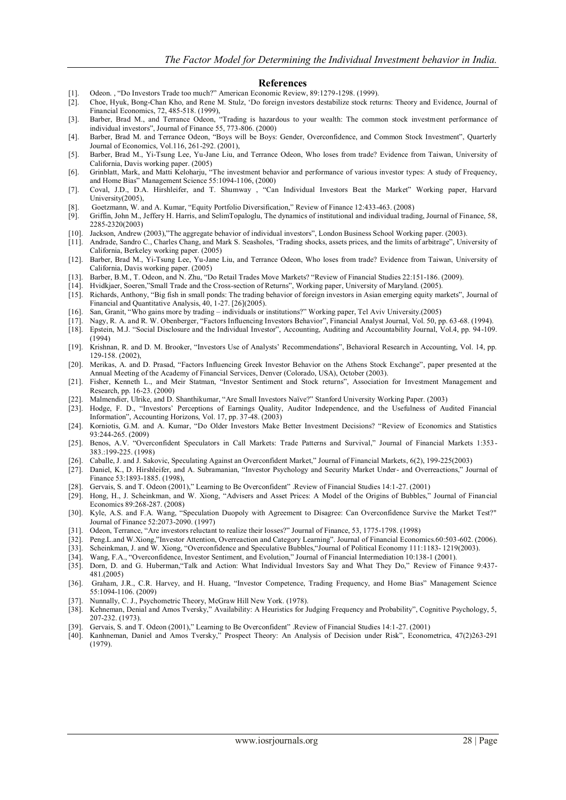#### **References**

- [1]. Odeon. , "Do Investors Trade too much?" American Economic Review, 89:1279-1298. (1999).
- [2]. Choe, Hyuk, Bong-Chan Kho, and Rene M. Stulz, "Do foreign investors destabilize stock returns: Theory and Evidence, Journal of Financial Economics, 72, 485-518. (1999),
- [3]. Barber, Brad M., and Terrance Odeon, "Trading is hazardous to your wealth: The common stock investment performance of individual investors", Journal of Finance 55, 773-806. (2000)
- [4]. Barber, Brad M. and Terrance Odeon, "Boys will be Boys: Gender, Overconfidence, and Common Stock Investment", Quarterly Journal of Economics, Vol.116, 261-292. (2001),
- [5]. Barber, Brad M., Yi-Tsung Lee, Yu-Jane Liu, and Terrance Odeon, Who loses from trade? Evidence from Taiwan, University of California, Davis working paper. (2005)
- [6]. Grinblatt, Mark, and Matti Keloharju, "The investment behavior and performance of various investor types: A study of Frequency, and Home Bias" Management Science 55:1094-1106, (2000)
- [7]. Coval, J.D., D.A. Hirshleifer, and T. Shumway , "Can Individual Investors Beat the Market" Working paper, Harvard University(2005),
- [8]. Goetzmann, W. and A. Kumar, "Equity Portfolio Diversification," Review of Finance 12:433-463. (2008)
- [9]. Griffin, John M., Jeffery H. Harris, and SelimTopaloglu, The dynamics of institutional and individual trading, Journal of Finance, 58, 2285-2320(2003)
- [10]. Jackson, Andrew (2003),"The aggregate behavior of individual investors", London Business School Working paper. (2003).
- [11]. Andrade, Sandro C., Charles Chang, and Mark S. Seasholes, "Trading shocks, assets prices, and the limits of arbitrage", University of California, Berkeley working paper. (2005)
- [12]. Barber, Brad M., Yi-Tsung Lee, Yu-Jane Liu, and Terrance Odeon, Who loses from trade? Evidence from Taiwan, University of California, Davis working paper. (2005)
- [13]. Barber, B.M., T. Odeon, and N. Zhu, "Do Retail Trades Move Markets? "Review of Financial Studies 22:151-186. (2009).
- [14]. Hvidkjaer, Soeren,"Small Trade and the Cross-section of Returns", Working paper, University of Maryland. (2005).
- [15]. Richards, Anthony, "Big fish in small ponds: The trading behavior of foreign investors in Asian emerging equity markets", Journal of Financial and Quantitative Analysis, 40, 1-27. [26](2005).
- [16]. San, Granit, "Who gains more by trading individuals or institutions?" Working paper, Tel Aviv University.(2005)
- [17]. Nagy, R. A. and R. W. Obenberger, "Factors Influencing Investors Behavior", Financial Analyst Journal, Vol. 50, pp. 63-68. (1994).
- [18]. Epstein, M.J. "Social Disclosure and the Individual Investor", Accounting, Auditing and Accountability Journal, Vol.4, pp. 94-109. (1994)
- [19]. Krishnan, R. and D. M. Brooker, "Investors Use of Analysts" Recommendations", Behavioral Research in Accounting, Vol. 14, pp. 129-158. (2002),
- [20]. Merikas, A. and D. Prasad, "Factors Influencing Greek Investor Behavior on the Athens Stock Exchange", paper presented at the Annual Meeting of the Academy of Financial Services, Denver (Colorado, USA), October (2003).
- [21]. Fisher, Kenneth L., and Meir Statman, "Investor Sentiment and Stock returns", Association for Investment Management and Research, pp. 16-23. (2000)
- [22]. Malmendier, Ulrike, and D. Shanthikumar, "Are Small Investors Naïve?" Stanford University Working Paper. (2003)
- [23]. Hodge, F. D., "Investors" Perceptions of Earnings Quality, Auditor Independence, and the Usefulness of Audited Financial Information", Accounting Horizons, Vol. 17, pp. 37-48. (2003)
- [24]. Korniotis, G.M. and A. Kumar, "Do Older Investors Make Better Investment Decisions? "Review of Economics and Statistics 93:244-265. (2009)
- [25]. Benos, A.V. "Overconfident Speculators in Call Markets: Trade Patterns and Survival," Journal of Financial Markets 1:353- 383.:199-225. (1998)
- [26]. Caballe, J. and J. Sakovic, Speculating Against an Overconfident Market," Journal of Financial Markets, 6(2), 199-225(2003)
- [27]. Daniel, K., D. Hirshleifer, and A. Subramanian, "Investor Psychology and Security Market Under- and Overreactions," Journal of Finance 53:1893-1885. (1998),
- [28]. Gervais, S. and T. Odeon (2001)," Learning to Be Overconfident" .Review of Financial Studies 14:1-27. (2001)
- [29]. Hong, H., J. Scheinkman, and W. Xiong, "Advisers and Asset Prices: A Model of the Origins of Bubbles," Journal of Financial Economics 89:268-287. (2008)
- [30]. Kyle, A.S. and F.A. Wang, "Speculation Duopoly with Agreement to Disagree: Can Overconfidence Survive the Market Test?" Journal of Finance 52:2073-2090. (1997)
- [31]. Odeon, Terrance, "Are investors reluctant to realize their losses?" Journal of Finance, 53, 1775-1798. (1998)
- [32]. Peng.L.and W.Xiong,"Investor Attention, Overreaction and Category Learning". Journal of Financial Economics.60:503-602. (2006).
- [33]. Scheinkman, J. and W. Xiong, "Overconfidence and Speculative Bubbles,"Journal of Political Economy 111:1183- 1219(2003).
- [34]. Wang, F.A., "Overconfidence, Investor Sentiment, and Evolution," Journal of Financial Intermediation 10:138-1 (2001).
- [35]. Dorn, D. and G. Huberman,"Talk and Action: What Individual Investors Say and What They Do," Review of Finance 9:437- 481.(2005)
- [36]. Graham, J.R., C.R. Harvey, and H. Huang, "Investor Competence, Trading Frequency, and Home Bias" Management Science 55:1094-1106. (2009)
- [37]. Nunnally, C. J., Psychometric Theory, McGraw Hill New York. (1978).
- [38]. Kehneman, Denial and Amos Tversky," Availability: A Heuristics for Judging Frequency and Probability", Cognitive Psychology, 5, 207-232. (1973).
- [39]. Gervais, S. and T. Odeon (2001)," Learning to Be Overconfident" .Review of Financial Studies 14:1-27. (2001)
- [40]. Kanhneman, Daniel and Amos Tversky," Prospect Theory: An Analysis of Decision under Risk", Econometrica, 47(2)263-291 (1979).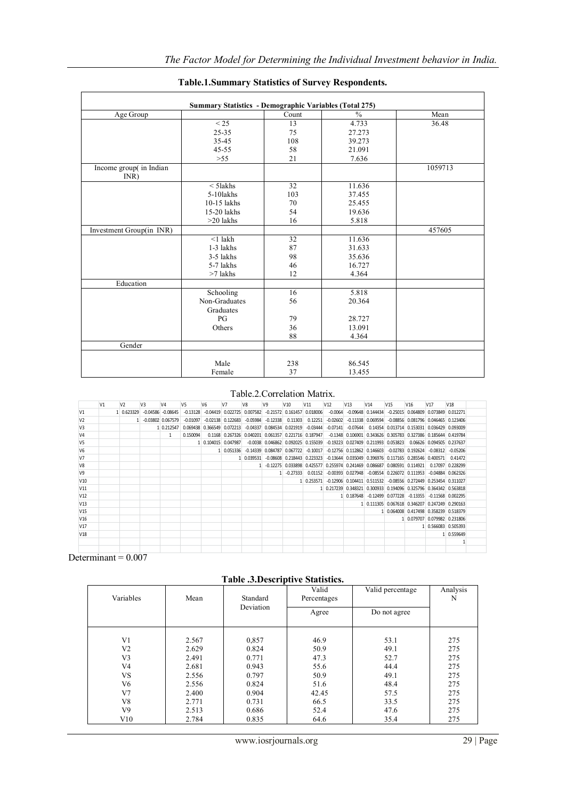| <b>Summary Statistics - Demographic Variables (Total 275)</b> |               |       |               |         |  |  |  |  |  |  |
|---------------------------------------------------------------|---------------|-------|---------------|---------|--|--|--|--|--|--|
| Age Group                                                     |               | Count | $\frac{0}{0}$ | Mean    |  |  |  |  |  |  |
|                                                               | < 25          | 13    | 4.733         | 36.48   |  |  |  |  |  |  |
|                                                               | 25-35         | 75    | 27.273        |         |  |  |  |  |  |  |
|                                                               | 35-45         | 108   | 39.273        |         |  |  |  |  |  |  |
|                                                               | $45 - 55$     | 58    | 21.091        |         |  |  |  |  |  |  |
|                                                               | $>55$         | 21    | 7.636         |         |  |  |  |  |  |  |
| Income group( in Indian<br>INR)                               |               |       |               | 1059713 |  |  |  |  |  |  |
|                                                               | $<$ 51akhs    | 32    | 11.636        |         |  |  |  |  |  |  |
|                                                               | 5-10lakhs     | 103   | 37.455        |         |  |  |  |  |  |  |
|                                                               | $10-15$ lakhs | 70    | 25.455        |         |  |  |  |  |  |  |
|                                                               | 15-20 lakhs   | 54    | 19.636        |         |  |  |  |  |  |  |
|                                                               | $>20$ lakhs   | 16    | 5.818         |         |  |  |  |  |  |  |
| Investment Group(in INR)                                      |               |       |               | 457605  |  |  |  |  |  |  |
|                                                               | $<$ 1 lakh    | 32    | 11.636        |         |  |  |  |  |  |  |
|                                                               | $1-3$ lakhs   | 87    | 31.633        |         |  |  |  |  |  |  |
|                                                               | 3-5 lakhs     | 98    | 35.636        |         |  |  |  |  |  |  |
|                                                               | 5-7 lakhs     | 46    | 16.727        |         |  |  |  |  |  |  |
|                                                               | $>7$ lakhs    | 12    | 4.364         |         |  |  |  |  |  |  |
| Education                                                     |               |       |               |         |  |  |  |  |  |  |
|                                                               | Schooling     | 16    | 5.818         |         |  |  |  |  |  |  |
|                                                               | Non-Graduates | 56    | 20.364        |         |  |  |  |  |  |  |
|                                                               | Graduates     |       |               |         |  |  |  |  |  |  |
|                                                               | PG            | 79    | 28.727        |         |  |  |  |  |  |  |
|                                                               | Others        | 36    | 13.091        |         |  |  |  |  |  |  |
|                                                               |               | 88    | 4.364         |         |  |  |  |  |  |  |
| Gender                                                        |               |       |               |         |  |  |  |  |  |  |
|                                                               | Male          | 238   | 86.545        |         |  |  |  |  |  |  |
|                                                               | Female        | 37    | 13.455        |         |  |  |  |  |  |  |

# **Table.1.Summary Statistics of Survey Respondents.**

# Table.2.Correlation Matrix.

|                 |                             |                |                |                      |                |                     | Male                                                              |                |            | 238               |                                  |                 | 86.545                                                                       |                     |                 |                              |                 |                                                |  |
|-----------------|-----------------------------|----------------|----------------|----------------------|----------------|---------------------|-------------------------------------------------------------------|----------------|------------|-------------------|----------------------------------|-----------------|------------------------------------------------------------------------------|---------------------|-----------------|------------------------------|-----------------|------------------------------------------------|--|
|                 |                             |                |                |                      |                |                     | Female                                                            |                |            | 37                |                                  |                 | 13.455                                                                       |                     |                 |                              |                 |                                                |  |
|                 | Table 2 Correlation Matrix. |                |                |                      |                |                     |                                                                   |                |            |                   |                                  |                 |                                                                              |                     |                 |                              |                 |                                                |  |
|                 | V <sub>1</sub>              | V <sub>2</sub> | V <sub>3</sub> | V4                   | V <sub>5</sub> | V <sub>6</sub>      | V <sub>7</sub>                                                    | V <sub>8</sub> | V9         | V10               | V <sub>11</sub>                  | V <sub>12</sub> | V <sub>13</sub>                                                              | V <sub>14</sub>     | V <sub>15</sub> | V <sub>16</sub>              | V <sub>17</sub> | V <sub>18</sub>                                |  |
| V <sub>1</sub>  |                             | 1 0.623329     |                | $-0.04586 - 0.08645$ | $-0.13128$     |                     | $-0.04419$ $0.022725$ $0.007582$ $-0.21572$ $0.161457$ $0.018006$ |                |            |                   |                                  | $-0.0064$       |                                                                              | $-0.09648$ 0.144434 |                 |                              |                 | $-0.25015$ $0.064809$ $0.073849$ $0.012271$    |  |
| V <sub>2</sub>  |                             |                |                | $-0.03802$ 0.067579  | $-0.01097$     |                     | $-0.02138$ $0.122683$                                             | $-0.05984$     | $-0.12338$ | 0.11303           | 0.12251                          | $-0.02602$      |                                                                              | $-0.11338$ 0.069594 |                 |                              |                 | $-0.08856$ 0.081796 0.046465 0.123406          |  |
| V <sub>3</sub>  |                             |                |                | 1 0.212547           |                |                     | 0.069438 0.366549 0.072213                                        | $-0.04337$     |            | 0.084534 0.021919 | $-0.03444$                       | $-0.07141$      | $-0.07644$                                                                   |                     |                 |                              |                 | 0.14354 0.013714 0.153031 0.036429 0.093009    |  |
| V <sub>4</sub>  |                             |                |                | 1.                   | 0.150094       |                     | 0.1168 0.267326 0.040201 0.061357 0.221716 0.187947               |                |            |                   |                                  |                 | $-0.1348$ 0.106901 0.343626 0.305783 0.327386 0.185644 0.419784              |                     |                 |                              |                 |                                                |  |
| V <sub>5</sub>  |                             |                |                |                      |                | 1 0.104015 0.047987 |                                                                   | $-0.0038$      |            |                   | 0.046862 0.092025 0.155039       |                 | $-0.19223$ $0.027409$ 0.211993 0.053823                                      |                     |                 |                              |                 | 0.06626 0.094505 0.237637                      |  |
| V <sub>6</sub>  |                             |                |                |                      |                |                     | 1 0.051336                                                        | $-0.14339$     |            | 0.084787 0.067722 | $-0.10017$                       |                 | $-0.12756$ $0.112862$ $0.146603$                                             |                     |                 | $-0.02783$ 0.192624          | $-0.08312$      | $-0.05206$                                     |  |
| V <sub>7</sub>  |                             |                |                |                      |                |                     |                                                                   | 1 0.039531     |            |                   | $-0.08608$ $0.218443$ $0.223323$ |                 | $-0.13644$ $0.035049$ $0.396976$ $0.117165$ $0.285546$ $0.400571$            |                     |                 |                              |                 | 0.41472                                        |  |
| V8              |                             |                |                |                      |                |                     |                                                                   |                |            |                   |                                  |                 | -0.12275 0.033898 0.425577 0.255974 0.241469 0.086687 0.080591 0.114921      |                     |                 |                              |                 | 0.17097 0.228299                               |  |
| V <sub>9</sub>  |                             |                |                |                      |                |                     |                                                                   |                |            | $1 - 0.27333$     | 0.01152                          |                 | $-0.00393$ $0.027948$                                                        |                     |                 | $-0.08554$ 0.226072 0.111953 |                 | $-0.04884$ $0.062326$                          |  |
| V10             |                             |                |                |                      |                |                     |                                                                   |                |            |                   | 1 0.253571                       |                 | $-0.12906$ $0.104411$ $0.511532$ $-0.08556$ $0.272449$ $0.253454$ $0.311027$ |                     |                 |                              |                 |                                                |  |
| V11             |                             |                |                |                      |                |                     |                                                                   |                |            |                   |                                  |                 | 1 0.217239 0.348321 0.300933 0.194096 0.325796 0.364342 0.563818             |                     |                 |                              |                 |                                                |  |
| V12             |                             |                |                |                      |                |                     |                                                                   |                |            |                   |                                  |                 | 1 0.187648 -0.12499 0.077228 -0.13355 -0.11568 0.002295                      |                     |                 |                              |                 |                                                |  |
| V13             |                             |                |                |                      |                |                     |                                                                   |                |            |                   |                                  |                 |                                                                              |                     |                 |                              |                 | 1 0.111305 0.067618 0.346207 0.247249 0.290163 |  |
| V <sub>15</sub> |                             |                |                |                      |                |                     |                                                                   |                |            |                   |                                  |                 |                                                                              |                     |                 |                              |                 | 1 0.064008 0.417498 0.358239 0.518379          |  |
| V16             |                             |                |                |                      |                |                     |                                                                   |                |            |                   |                                  |                 |                                                                              |                     |                 |                              |                 | 1 0.079707 0.079982 0.231806                   |  |
| V <sub>17</sub> |                             |                |                |                      |                |                     |                                                                   |                |            |                   |                                  |                 |                                                                              |                     |                 |                              |                 | 1 0.566083 0.505393                            |  |
| V <sub>18</sub> |                             |                |                |                      |                |                     |                                                                   |                |            |                   |                                  |                 |                                                                              |                     |                 |                              |                 | 1 0.559649                                     |  |
|                 |                             |                |                |                      |                |                     |                                                                   |                |            |                   |                                  |                 |                                                                              |                     |                 |                              |                 | 1                                              |  |
|                 |                             |                |                |                      |                |                     |                                                                   |                |            |                   |                                  |                 |                                                                              |                     |                 |                              |                 |                                                |  |

Determinant =  $0.007$ 

**Table .3.Descriptive Statistics.**

| Variables      | Mean  | Standard<br>Deviation | Valid<br>Percentages | Valid percentage | Analysis<br>N |
|----------------|-------|-----------------------|----------------------|------------------|---------------|
|                |       |                       | Agree                | Do not agree     |               |
| V1             | 2.567 | 0,857                 | 46.9                 | 53.1             | 275           |
| V <sub>2</sub> | 2.629 | 0.824                 | 50.9                 | 49.1             | 275           |
| V3             | 2.491 | 0.771                 | 47.3                 | 52.7             | 275           |
| V <sub>4</sub> | 2.681 | 0.943                 | 55.6                 | 44.4             | 275           |
| <b>VS</b>      | 2.556 | 0.797                 | 50.9                 | 49.1             | 275           |
| V <sub>6</sub> | 2.556 | 0.824                 | 51.6                 | 48.4             | 275           |
| V <sub>7</sub> | 2.400 | 0.904                 | 42.45                | 57.5             | 275           |
| V8             | 2.771 | 0.731                 | 66.5                 | 33.5             | 275           |
| V9             | 2.513 | 0.686                 | 52.4                 | 47.6             | 275           |
| V10            | 2.784 | 0.835                 | 64.6                 | 35.4             | 275           |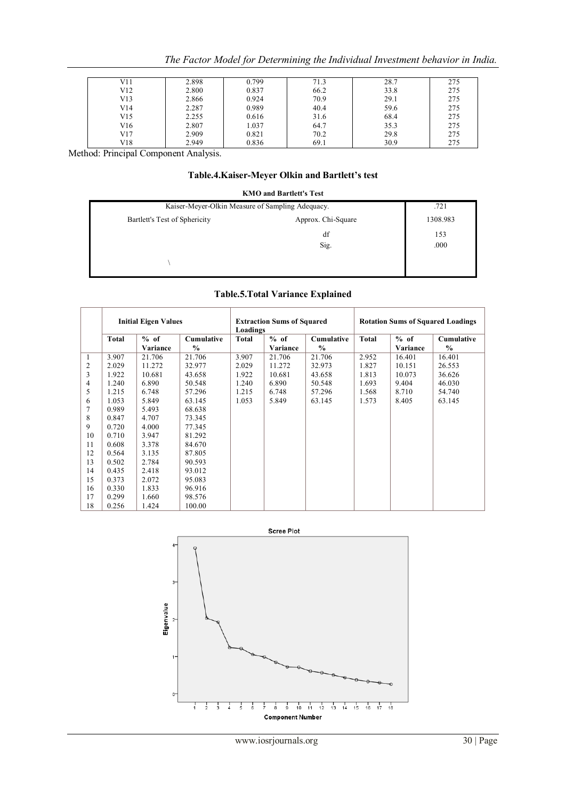|  |  | The Factor Model for Determining the Individual Investment behavior in India. |  |
|--|--|-------------------------------------------------------------------------------|--|
|--|--|-------------------------------------------------------------------------------|--|

| V11 | 2.898 | 0.799 | 71.3 | 28.7 | 275 |
|-----|-------|-------|------|------|-----|
| V12 | 2.800 | 0.837 | 66.2 | 33.8 | 275 |
| V13 | 2.866 | 0.924 | 70.9 | 29.1 | 275 |
| V14 | 2.287 | 0.989 | 40.4 | 59.6 | 275 |
| V15 | 2.255 | 0.616 | 31.6 | 68.4 | 275 |
| V16 | 2.807 | 1.037 | 64.7 | 35.3 | 275 |
| V17 | 2.909 | 0.821 | 70.2 | 29.8 | 275 |
| V18 | 2.949 | 0.836 | 69.1 | 30.9 | 275 |

Method: Principal Component Analysis.

# **Table.4.Kaiser-Meyer Olkin and Bartlett's test**

|                                                  | <b>KMO and Bartlett's Test</b> |             |
|--------------------------------------------------|--------------------------------|-------------|
| Kaiser-Meyer-Olkin Measure of Sampling Adequacy. | .721                           |             |
| Bartlett's Test of Sphericity                    | Approx. Chi-Square             | 1308.983    |
|                                                  | df<br>Sig.                     | 153<br>.000 |
|                                                  |                                |             |

# **Table.5.Total Variance Explained**

|                | <b>Initial Eigen Values</b> |          |                   | Loadings | <b>Extraction Sums of Squared</b> |                   | <b>Rotation Sums of Squared Loadings</b> |          |               |  |
|----------------|-----------------------------|----------|-------------------|----------|-----------------------------------|-------------------|------------------------------------------|----------|---------------|--|
|                | <b>Total</b>                | $%$ of   | <b>Cumulative</b> | Total    | $%$ of                            | <b>Cumulative</b> | <b>Total</b>                             | $%$ of   | Cumulative    |  |
|                |                             | Variance | $\frac{0}{0}$     |          | Variance                          | $\frac{0}{0}$     |                                          | Variance | $\frac{0}{0}$ |  |
| 1              | 3.907                       | 21.706   | 21.706            | 3.907    | 21.706                            | 21.706            | 2.952                                    | 16.401   | 16.401        |  |
| $\overline{c}$ | 2.029                       | 11.272   | 32.977            | 2.029    | 11.272                            | 32.973            | 1.827                                    | 10.151   | 26.553        |  |
| 3              | 1.922                       | 10.681   | 43.658            | 1.922    | 10.681                            | 43.658            | 1.813                                    | 10.073   | 36.626        |  |
| 4              | 1.240                       | 6.890    | 50.548            | 1.240    | 6.890                             | 50.548            | 1.693                                    | 9.404    | 46.030        |  |
| 5              | 1.215                       | 6.748    | 57.296            | 1.215    | 6.748                             | 57.296            | 1.568                                    | 8.710    | 54.740        |  |
| 6              | 1.053                       | 5.849    | 63.145            | 1.053    | 5.849                             | 63.145            | 1.573                                    | 8.405    | 63.145        |  |
| 7              | 0.989                       | 5.493    | 68.638            |          |                                   |                   |                                          |          |               |  |
| 8              | 0.847                       | 4.707    | 73.345            |          |                                   |                   |                                          |          |               |  |
| 9              | 0.720                       | 4.000    | 77.345            |          |                                   |                   |                                          |          |               |  |
| 10             | 0.710                       | 3.947    | 81.292            |          |                                   |                   |                                          |          |               |  |
| 11             | 0.608                       | 3.378    | 84.670            |          |                                   |                   |                                          |          |               |  |
| 12             | 0.564                       | 3.135    | 87.805            |          |                                   |                   |                                          |          |               |  |
| 13             | 0.502                       | 2.784    | 90.593            |          |                                   |                   |                                          |          |               |  |
| 14             | 0.435                       | 2.418    | 93.012            |          |                                   |                   |                                          |          |               |  |
| 15             | 0.373                       | 2.072    | 95.083            |          |                                   |                   |                                          |          |               |  |
| 16             | 0.330                       | 1.833    | 96.916            |          |                                   |                   |                                          |          |               |  |
| 17             | 0.299                       | 1.660    | 98.576            |          |                                   |                   |                                          |          |               |  |
| 18             | 0.256                       | 1.424    | 100.00            |          |                                   |                   |                                          |          |               |  |

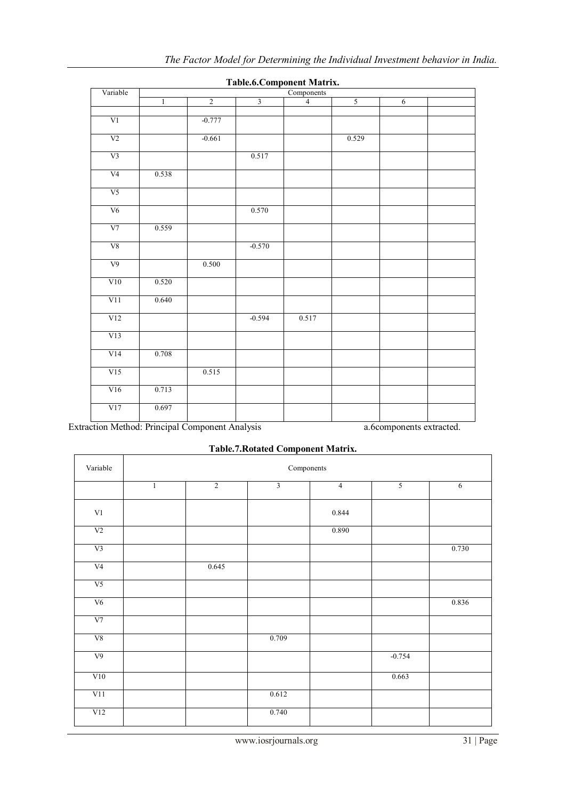| Variable       | r asicioi component niau mi<br>Components |                |                         |                |       |                |  |  |  |  |  |
|----------------|-------------------------------------------|----------------|-------------------------|----------------|-------|----------------|--|--|--|--|--|
|                | $\mathbf{1}$                              | $\overline{2}$ | $\overline{\mathbf{3}}$ | $\overline{4}$ | 5     | $\overline{6}$ |  |  |  |  |  |
|                |                                           |                |                         |                |       |                |  |  |  |  |  |
| V1             |                                           | $-0.777$       |                         |                |       |                |  |  |  |  |  |
| V <sub>2</sub> |                                           | $-0.661$       |                         |                | 0.529 |                |  |  |  |  |  |
| V <sub>3</sub> |                                           |                | 0.517                   |                |       |                |  |  |  |  |  |
| V <sub>4</sub> | 0.538                                     |                |                         |                |       |                |  |  |  |  |  |
| V <sub>5</sub> |                                           |                |                         |                |       |                |  |  |  |  |  |
| V6             |                                           |                | 0.570                   |                |       |                |  |  |  |  |  |
| V <sub>7</sub> | 0.559                                     |                |                         |                |       |                |  |  |  |  |  |
| ${\rm V}8$     |                                           |                | $-0.570$                |                |       |                |  |  |  |  |  |
| V <sub>9</sub> |                                           | 0.500          |                         |                |       |                |  |  |  |  |  |
| V10            | 0.520                                     |                |                         |                |       |                |  |  |  |  |  |
| V11            | 0.640                                     |                |                         |                |       |                |  |  |  |  |  |
| V12            |                                           |                | $-0.594$                | 0.517          |       |                |  |  |  |  |  |
| V13            |                                           |                |                         |                |       |                |  |  |  |  |  |
| V14            | 0.708                                     |                |                         |                |       |                |  |  |  |  |  |
| V15            |                                           | 0.515          |                         |                |       |                |  |  |  |  |  |
| V16            | 0.713                                     |                |                         |                |       |                |  |  |  |  |  |
| V17            | 0.697                                     |                |                         |                |       |                |  |  |  |  |  |
|                |                                           |                |                         |                |       |                |  |  |  |  |  |

**Table.6.Component Matrix.**

Extraction Method: Principal Component Analysis a.6components extracted.

| Variable       | Components   |                |                |                |          |       |  |  |  |  |
|----------------|--------------|----------------|----------------|----------------|----------|-------|--|--|--|--|
|                | $\mathbf{1}$ | $\overline{2}$ | $\overline{3}$ | $\overline{4}$ | 5        | 6     |  |  |  |  |
| $\mbox{V1}$    |              |                |                | 0.844          |          |       |  |  |  |  |
| V <sub>2</sub> |              |                |                | 0.890          |          |       |  |  |  |  |
| V <sub>3</sub> |              |                |                |                |          | 0.730 |  |  |  |  |
| V <sub>4</sub> |              | 0.645          |                |                |          |       |  |  |  |  |
| V <sub>5</sub> |              |                |                |                |          |       |  |  |  |  |
| V <sub>6</sub> |              |                |                |                |          | 0.836 |  |  |  |  |
| V7             |              |                |                |                |          |       |  |  |  |  |
| V8             |              |                | 0.709          |                |          |       |  |  |  |  |
| V <sub>9</sub> |              |                |                |                | $-0.754$ |       |  |  |  |  |
| V10            |              |                |                |                | 0.663    |       |  |  |  |  |
| V11            |              |                | 0.612          |                |          |       |  |  |  |  |
| V12            |              |                | 0.740          |                |          |       |  |  |  |  |

# **Table.7.Rotated Component Matrix.**